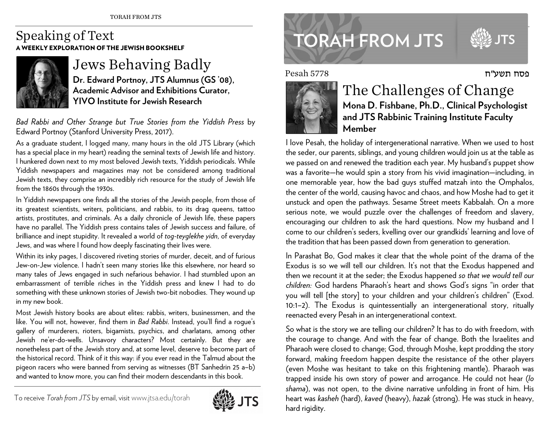## Speaking of Text A WEEKLY EXPLORATION OF THE JEWISH BOOKSHELF



## Jews Behaving Badly **Dr. Edward Portnoy, JTS Alumnus (GS '08),**

**Academic Advisor and Exhibitions Curator, YIVO Institute for Jewish Research** 

*Bad Rabbi and Other Strange but True Stories from the Yiddish Press* by Edward Portnoy (Stanford University Press, 2017).

As a graduate student, I logged many, many hours in the old JTS Library (which has a special place in my heart) reading the seminal texts of Jewish life and history. I hunkered down next to my most beloved Jewish texts, Yiddish periodicals. While Yiddish newspapers and magazines may not be considered among traditional Jewish texts, they comprise an incredibly rich resource for the study of Jewish life from the 1860s through the 1930s.

In Yiddish newspapers one finds all the stories of the Jewish people, from those of its greatest scientists, writers, politicians, and rabbis, to its drag queens, tattoo artists, prostitutes, and criminals. As a daily chronicle of Jewish life, these papers have no parallel. The Yiddish press contains tales of Jewish success and failure, of brilliance and inept stupidity. It revealed a world of *tog-teyglekhe yidn*, of everyday Jews, and was where I found how deeply fascinating their lives were.

Within its inky pages, I discovered riveting stories of murder, deceit, and of furious Jew-on-Jew violence. I hadn't seen many stories like this elsewhere, nor heard so many tales of Jews engaged in such nefarious behavior. I had stumbled upon an embarrassment of terrible riches in the Yiddish press and knew I had to do something with these unknown stories of Jewish two-bit nobodies. They wound up in my new book.

Most Jewish history books are about elites: rabbis, writers, businessmen, and the like. You will not, however, find them in *Bad Rabbi*. Instead, you'll find a rogue's gallery of murderers, rioters, bigamists, psychics, and charlatans, among other Jewish ne'er-do-wells. Unsavory characters? Most certainly. But they are nonetheless part of the Jewish story and, at some level, deserve to become part of the historical record. Think of it this way: if you ever read in the Talmud about the <sup>p</sup>igeon racers who were banned from serving as witnesses (BT Sanhedrin 25 a–b) and wanted to know more, you can find their modern descendants in this book.



## **TORAH FROM JTS**

פסח תשע״ח

Pesah 5778



## The Challenges of Change **Mona D. Fishbane, Ph.D., Clinical Psychologist and JTS Rabbinic Training Institute Faculty Member**

I love Pesah, the holiday of intergenerational narrative. When we used to host the seder, our parents, siblings, and young children would join us at the table as we passed on and renewed the tradition each year. My husband's puppet show was a favorite—he would spin a story from his vivid imagination—including, in one memorable year, how the bad guys stuffed matzah into the Omphalos, the center of the world, causing havoc and chaos, and how Moshe had to get it unstuck and open the pathways. Sesame Street meets Kabbalah. On a more serious note, we would puzzle over the challenges of freedom and slavery, encouraging our children to ask the hard questions. Now my husband and I come to our children's seders, kvelling over our grandkids' learning and love of the tradition that has been passed down from generation to generation.

In Parashat Bo, God makes it clear that the whole point of the drama of the Exodus is so we will tell our children. It's not that the Exodus happened and then we recount it at the seder; the Exodus happened *so that we would tell our children:* God hardens Pharaoh's heart and shows God's signs "in order that you will tell [the story] to your children and your children's children" (Exod. 10:1–2). The Exodus is quintessentially an intergenerational story, ritually reenacted every Pesah in an intergenerational context.

So what is the story we are telling our children? It has to do with freedom, with the courage to change. And with the fear of change. Both the Israelites and Pharaoh were closed to change; God, through Moshe, kept prodding the story forward, making freedom happen despite the resistance of the other players (even Moshe was hesitant to take on this frightening mantle). Pharaoh was trapped inside his own story of power and arrogance. He could not hear (*lo shama*), was not open, to the divine narrative unfolding in front of him. His heart was *kasheh* (hard), *kaved* (heavy), *hazak* (strong). He was stuck in heavy, hard rigidity.